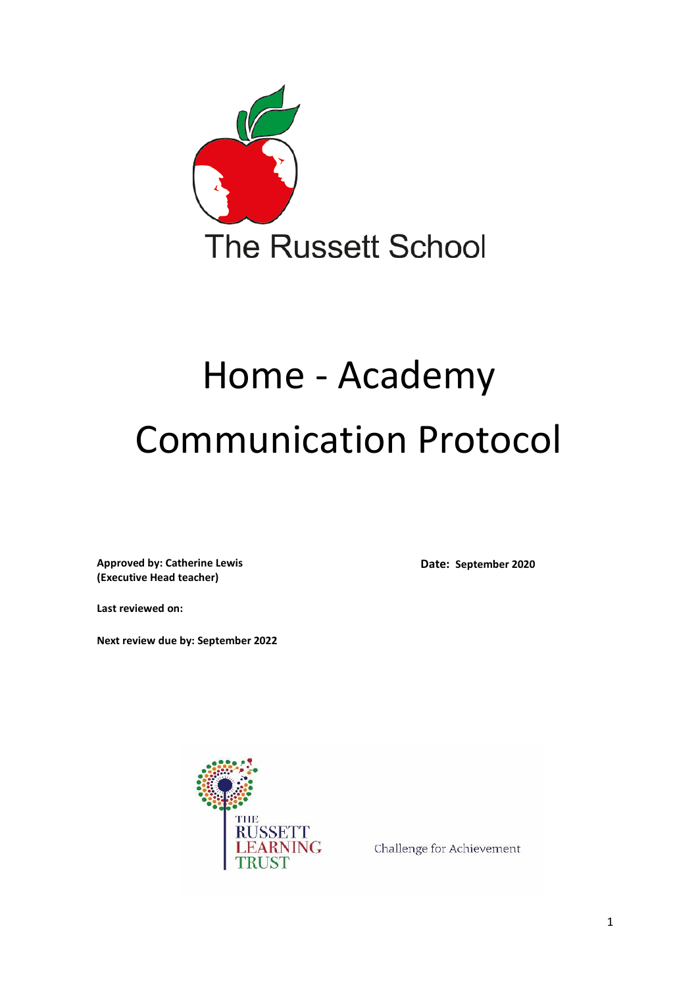

# Home - Academy Communication Protocol

**Approved by: Catherine Lewis (Executive Head teacher)**

**Date: September 2020**

**Last reviewed on:**

**Next review due by: September 2022**



Challenge for Achievement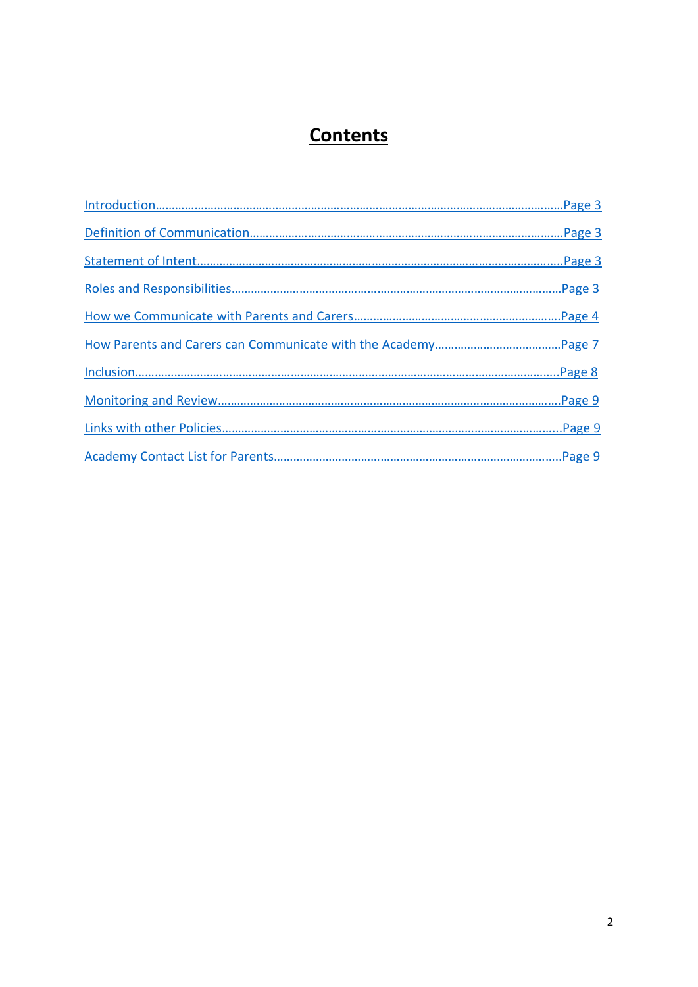# **Contents**

<span id="page-1-0"></span>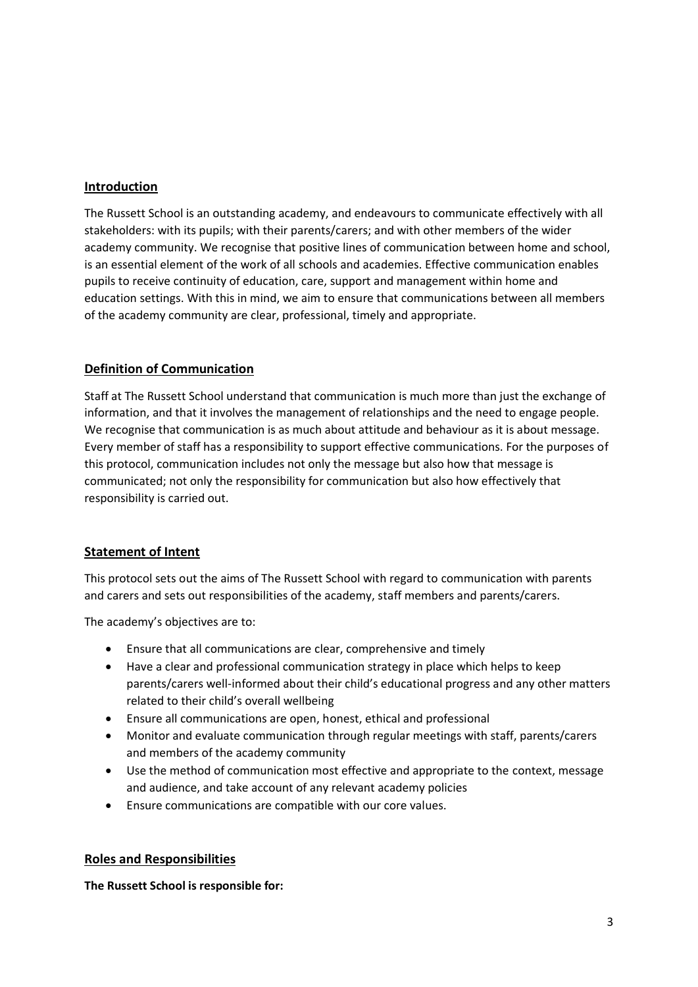#### <span id="page-2-0"></span>**Introduction**

The Russett School is an outstanding academy, and endeavours to communicate effectively with all stakeholders: with its pupils; with their parents/carers; and with other members of the wider academy community. We recognise that positive lines of communication between home and school, is an essential element of the work of all schools and academies. Effective communication enables pupils to receive continuity of education, care, support and management within home and education settings. With this in mind, we aim to ensure that communications between all members of the academy community are clear, professional, timely and appropriate.

# <span id="page-2-1"></span>**Definition of Communication**

Staff at The Russett School understand that communication is much more than just the exchange of information, and that it involves the management of relationships and the need to engage people. We recognise that communication is as much about attitude and behaviour as it is about message. Every member of staff has a responsibility to support effective communications. For the purposes of this protocol, communication includes not only the message but also how that message is communicated; not only the responsibility for communication but also how effectively that responsibility is carried out.

## <span id="page-2-2"></span>**Statement of Intent**

This protocol sets out the aims of The Russett School with regard to communication with parents and carers and sets out responsibilities of the academy, staff members and parents/carers.

The academy's objectives are to:

- Ensure that all communications are clear, comprehensive and timely
- Have a clear and professional communication strategy in place which helps to keep parents/carers well-informed about their child's educational progress and any other matters related to their child's overall wellbeing
- Ensure all communications are open, honest, ethical and professional
- Monitor and evaluate communication through regular meetings with staff, parents/carers and members of the academy community
- Use the method of communication most effective and appropriate to the context, message and audience, and take account of any relevant academy policies
- Ensure communications are compatible with our core values.

#### <span id="page-2-3"></span>**Roles and Responsibilities**

**The Russett School is responsible for:**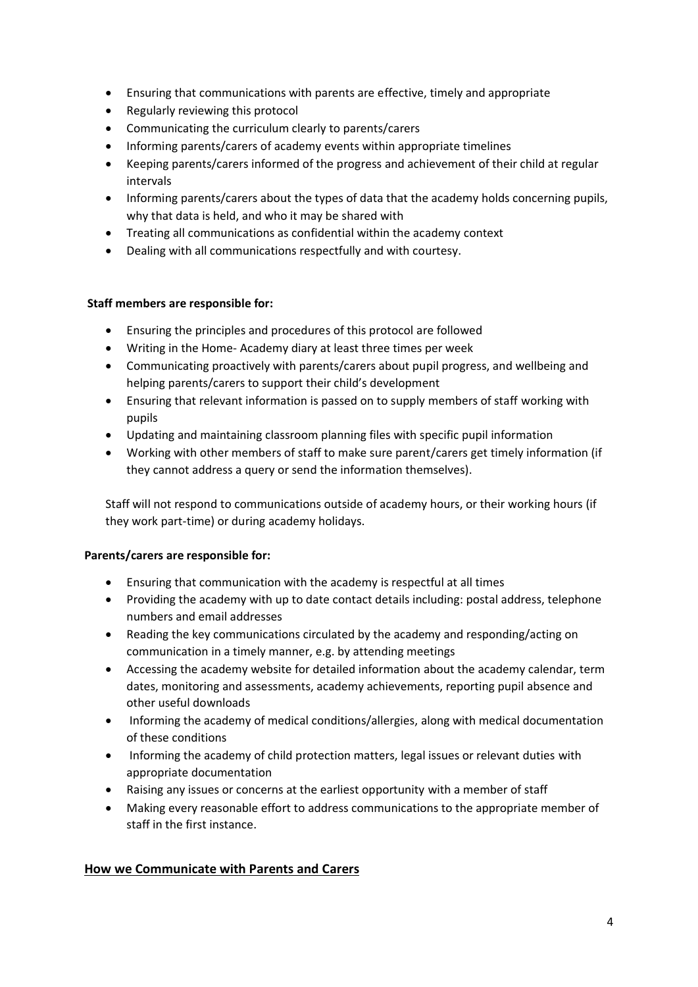- Ensuring that communications with parents are effective, timely and appropriate
- Regularly reviewing this protocol
- Communicating the curriculum clearly to parents/carers
- Informing parents/carers of academy events within appropriate timelines
- Keeping parents/carers informed of the progress and achievement of their child at regular intervals
- Informing parents/carers about the types of data that the academy holds concerning pupils, why that data is held, and who it may be shared with
- Treating all communications as confidential within the academy context
- Dealing with all communications respectfully and with courtesy.

## **Staff members are responsible for:**

- Ensuring the principles and procedures of this protocol are followed
- Writing in the Home- Academy diary at least three times per week
- Communicating proactively with parents/carers about pupil progress, and wellbeing and helping parents/carers to support their child's development
- Ensuring that relevant information is passed on to supply members of staff working with pupils
- Updating and maintaining classroom planning files with specific pupil information
- Working with other members of staff to make sure parent/carers get timely information (if they cannot address a query or send the information themselves).

Staff will not respond to communications outside of academy hours, or their working hours (if they work part-time) or during academy holidays.

## **Parents/carers are responsible for:**

- Ensuring that communication with the academy is respectful at all times
- Providing the academy with up to date contact details including: postal address, telephone numbers and email addresses
- Reading the key communications circulated by the academy and responding/acting on communication in a timely manner, e.g. by attending meetings
- Accessing the academy website for detailed information about the academy calendar, term dates, monitoring and assessments, academy achievements, reporting pupil absence and other useful downloads
- Informing the academy of medical conditions/allergies, along with medical documentation of these conditions
- Informing the academy of child protection matters, legal issues or relevant duties with appropriate documentation
- Raising any issues or concerns at the earliest opportunity with a member of staff
- Making every reasonable effort to address communications to the appropriate member of staff in the first instance.

## <span id="page-3-0"></span>**How we Communicate with Parents and Carers**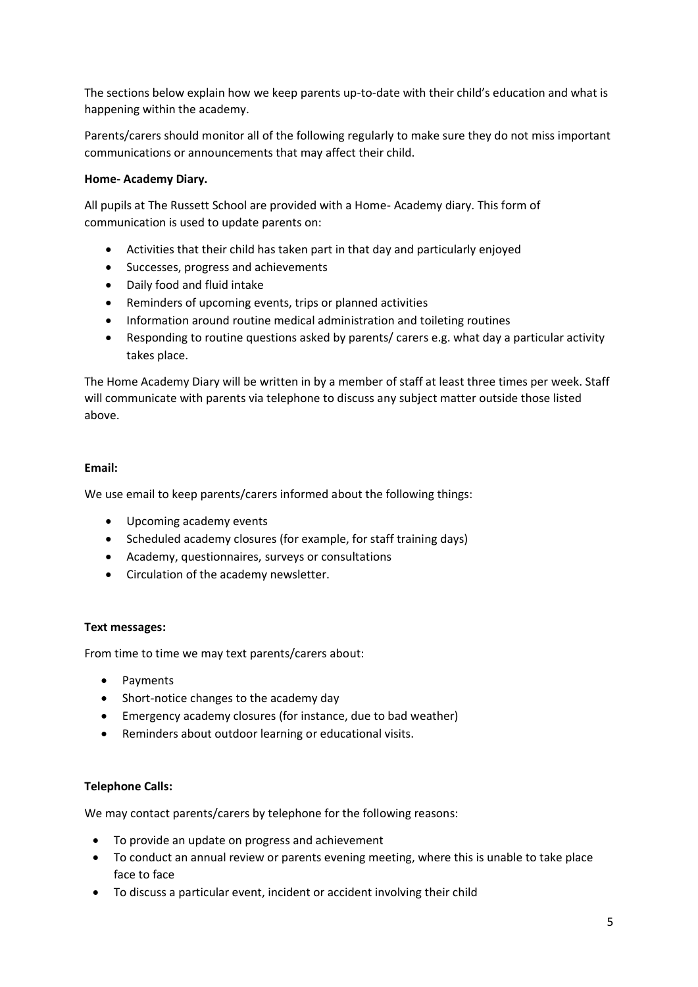The sections below explain how we keep parents up-to-date with their child's education and what is happening within the academy.

Parents/carers should monitor all of the following regularly to make sure they do not miss important communications or announcements that may affect their child.

#### **Home- Academy Diary.**

All pupils at The Russett School are provided with a Home- Academy diary. This form of communication is used to update parents on:

- Activities that their child has taken part in that day and particularly enjoyed
- Successes, progress and achievements
- Daily food and fluid intake
- Reminders of upcoming events, trips or planned activities
- Information around routine medical administration and toileting routines
- Responding to routine questions asked by parents/ carers e.g. what day a particular activity takes place.

The Home Academy Diary will be written in by a member of staff at least three times per week. Staff will communicate with parents via telephone to discuss any subject matter outside those listed above.

#### **Email:**

We use email to keep parents/carers informed about the following things:

- Upcoming academy events
- Scheduled academy closures (for example, for staff training days)
- Academy, questionnaires, surveys or consultations
- Circulation of the academy newsletter.

#### **Text messages:**

From time to time we may text parents/carers about:

- Payments
- Short-notice changes to the academy day
- Emergency academy closures (for instance, due to bad weather)
- Reminders about outdoor learning or educational visits.

#### **Telephone Calls:**

We may contact parents/carers by telephone for the following reasons:

- To provide an update on progress and achievement
- To conduct an annual review or parents evening meeting, where this is unable to take place face to face
- To discuss a particular event, incident or accident involving their child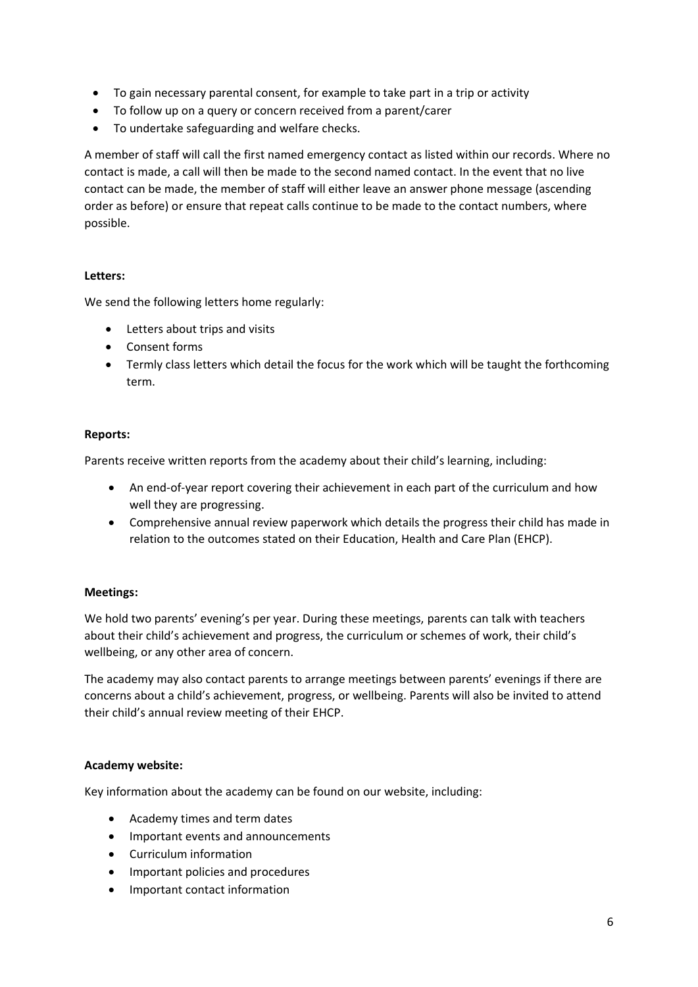- To gain necessary parental consent, for example to take part in a trip or activity
- To follow up on a query or concern received from a parent/carer
- To undertake safeguarding and welfare checks.

A member of staff will call the first named emergency contact as listed within our records. Where no contact is made, a call will then be made to the second named contact. In the event that no live contact can be made, the member of staff will either leave an answer phone message (ascending order as before) or ensure that repeat calls continue to be made to the contact numbers, where possible.

# **Letters:**

We send the following letters home regularly:

- Letters about trips and visits
- Consent forms
- Termly class letters which detail the focus for the work which will be taught the forthcoming term.

#### **Reports:**

Parents receive written reports from the academy about their child's learning, including:

- An end-of-year report covering their achievement in each part of the curriculum and how well they are progressing.
- Comprehensive annual review paperwork which details the progress their child has made in relation to the outcomes stated on their Education, Health and Care Plan (EHCP).

## **Meetings:**

We hold two parents' evening's per year. During these meetings, parents can talk with teachers about their child's achievement and progress, the curriculum or schemes of work, their child's wellbeing, or any other area of concern.

The academy may also contact parents to arrange meetings between parents' evenings if there are concerns about a child's achievement, progress, or wellbeing. Parents will also be invited to attend their child's annual review meeting of their EHCP.

## **Academy website:**

Key information about the academy can be found on our website, including:

- Academy times and term dates
- Important events and announcements
- Curriculum information
- Important policies and procedures
- Important contact information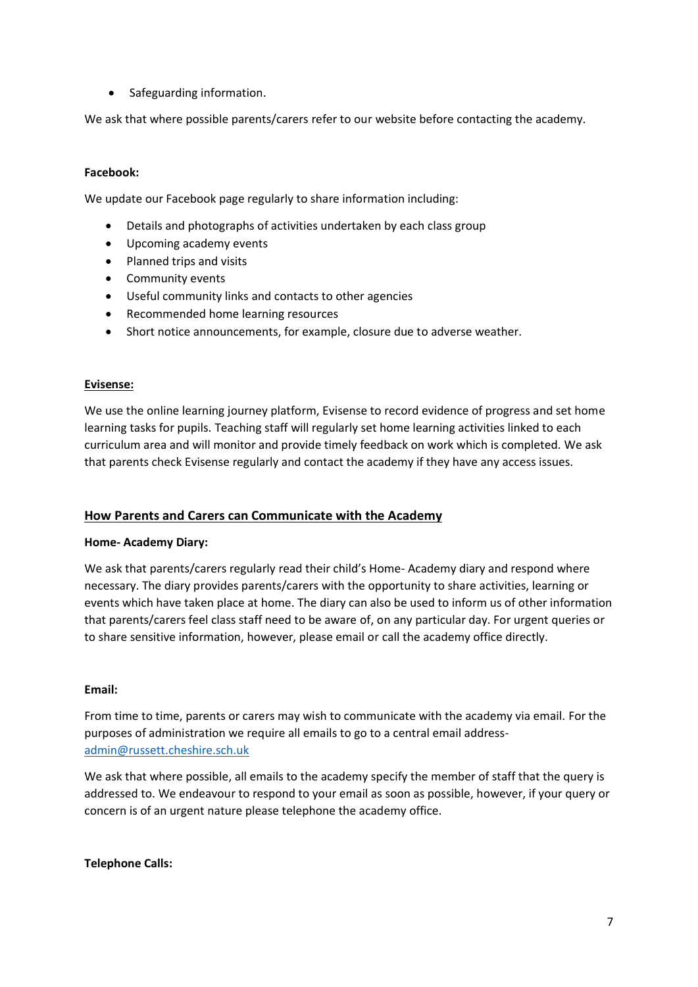Safeguarding information.

We ask that where possible parents/carers refer to our website before contacting the academy.

#### **Facebook:**

We update our Facebook page regularly to share information including:

- Details and photographs of activities undertaken by each class group
- Upcoming academy events
- Planned trips and visits
- Community events
- Useful community links and contacts to other agencies
- Recommended home learning resources
- Short notice announcements, for example, closure due to adverse weather.

#### **Evisense:**

We use the online learning journey platform, Evisense to record evidence of progress and set home learning tasks for pupils. Teaching staff will regularly set home learning activities linked to each curriculum area and will monitor and provide timely feedback on work which is completed. We ask that parents check Evisense regularly and contact the academy if they have any access issues.

## <span id="page-6-0"></span>**How Parents and Carers can Communicate with the Academy**

#### **Home- Academy Diary:**

We ask that parents/carers regularly read their child's Home- Academy diary and respond where necessary. The diary provides parents/carers with the opportunity to share activities, learning or events which have taken place at home. The diary can also be used to inform us of other information that parents/carers feel class staff need to be aware of, on any particular day. For urgent queries or to share sensitive information, however, please email or call the academy office directly.

#### **Email:**

From time to time, parents or carers may wish to communicate with the academy via email. For the purposes of administration we require all emails to go to a central email address[admin@russett.cheshire.sch.uk](mailto:admin@russett.cheshire.sch.uk) 

We ask that where possible, all emails to the academy specify the member of staff that the query is addressed to. We endeavour to respond to your email as soon as possible, however, if your query or concern is of an urgent nature please telephone the academy office.

**Telephone Calls:**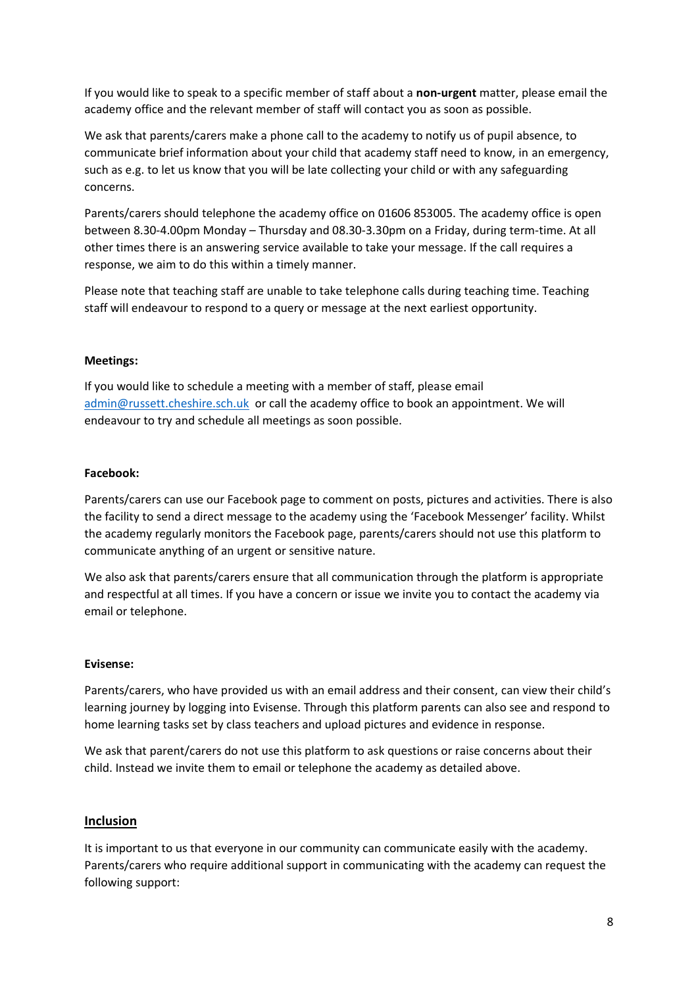If you would like to speak to a specific member of staff about a **non-urgent** matter, please email the academy office and the relevant member of staff will contact you as soon as possible.

We ask that parents/carers make a phone call to the academy to notify us of pupil absence, to communicate brief information about your child that academy staff need to know, in an emergency, such as e.g. to let us know that you will be late collecting your child or with any safeguarding concerns.

Parents/carers should telephone the academy office on 01606 853005. The academy office is open between 8.30-4.00pm Monday – Thursday and 08.30-3.30pm on a Friday, during term-time. At all other times there is an answering service available to take your message. If the call requires a response, we aim to do this within a timely manner.

Please note that teaching staff are unable to take telephone calls during teaching time. Teaching staff will endeavour to respond to a query or message at the next earliest opportunity.

#### **Meetings:**

If you would like to schedule a meeting with a member of staff, please email [admin@russett.cheshire.sch.uk](mailto:admin@russett.cheshire.sch.uk) or call the academy office to book an appointment. We will endeavour to try and schedule all meetings as soon possible.

#### **Facebook:**

Parents/carers can use our Facebook page to comment on posts, pictures and activities. There is also the facility to send a direct message to the academy using the 'Facebook Messenger' facility. Whilst the academy regularly monitors the Facebook page, parents/carers should not use this platform to communicate anything of an urgent or sensitive nature.

We also ask that parents/carers ensure that all communication through the platform is appropriate and respectful at all times. If you have a concern or issue we invite you to contact the academy via email or telephone.

#### **Evisense:**

Parents/carers, who have provided us with an email address and their consent, can view their child's learning journey by logging into Evisense. Through this platform parents can also see and respond to home learning tasks set by class teachers and upload pictures and evidence in response.

We ask that parent/carers do not use this platform to ask questions or raise concerns about their child. Instead we invite them to email or telephone the academy as detailed above.

## <span id="page-7-0"></span>**Inclusion**

It is important to us that everyone in our community can communicate easily with the academy. Parents/carers who require additional support in communicating with the academy can request the following support: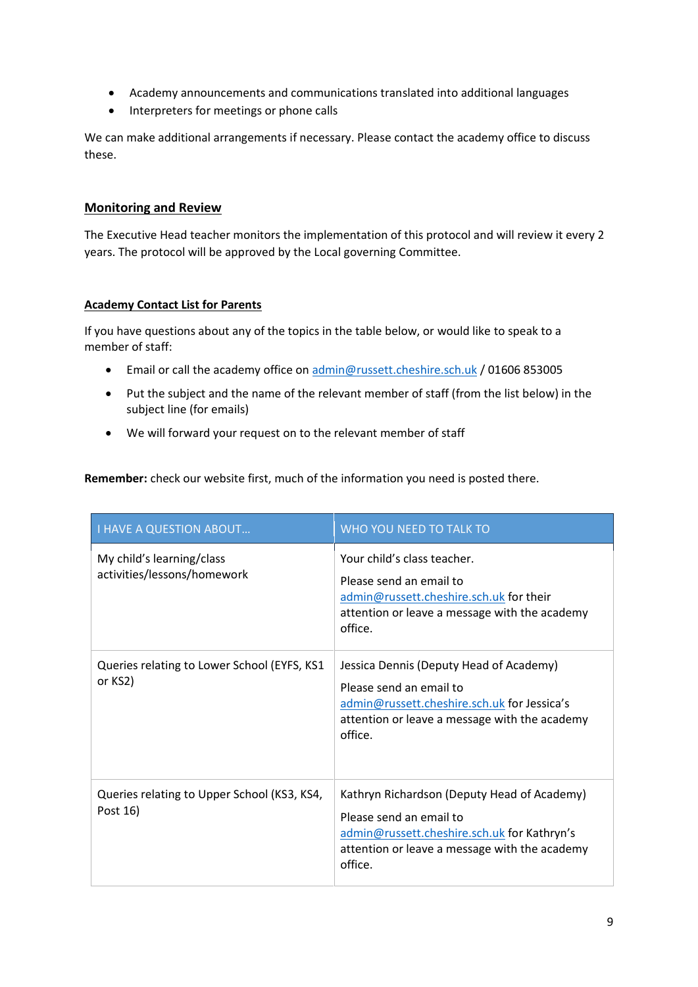- Academy announcements and communications translated into additional languages
- Interpreters for meetings or phone calls

We can make additional arrangements if necessary. Please contact the academy office to discuss these.

# <span id="page-8-0"></span>**Monitoring and Review**

The Executive Head teacher monitors the implementation of this protocol and will review it every 2 years. The protocol will be approved by the Local governing Committee.

# **Academy Contact List for Parents**

If you have questions about any of the topics in the table below, or would like to speak to a member of staff:

- Email or call the academy office on [admin@russett.cheshire.sch.uk](mailto:admin@russett.cheshire.sch.uk) / 01606 853005
- Put the subject and the name of the relevant member of staff (from the list below) in the subject line (for emails)
- We will forward your request on to the relevant member of staff

**Remember:** check our website first, much of the information you need is posted there.

| <b>I HAVE A QUESTION ABOUT</b>                           | WHO YOU NEED TO TALK TO                                                                                                                                                           |
|----------------------------------------------------------|-----------------------------------------------------------------------------------------------------------------------------------------------------------------------------------|
| My child's learning/class<br>activities/lessons/homework | Your child's class teacher.<br>Please send an email to<br>admin@russett.cheshire.sch.uk for their<br>attention or leave a message with the academy<br>office.                     |
| Queries relating to Lower School (EYFS, KS1<br>or KS2)   | Jessica Dennis (Deputy Head of Academy)<br>Please send an email to<br>admin@russett.cheshire.sch.uk for Jessica's<br>attention or leave a message with the academy<br>office.     |
| Queries relating to Upper School (KS3, KS4,<br>Post 16)  | Kathryn Richardson (Deputy Head of Academy)<br>Please send an email to<br>admin@russett.cheshire.sch.uk for Kathryn's<br>attention or leave a message with the academy<br>office. |